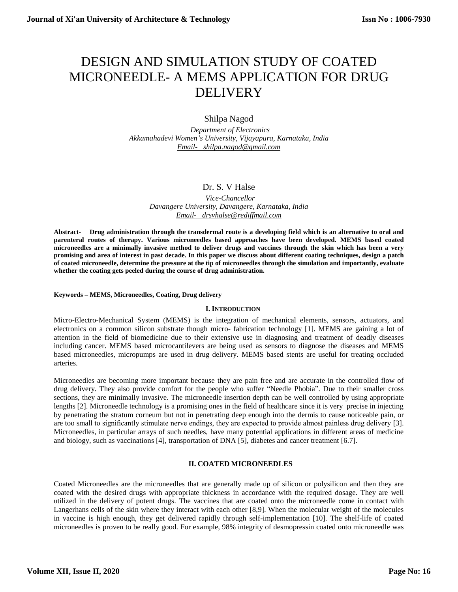# DESIGN AND SIMULATION STUDY OF COATED MICRONEEDLE- A MEMS APPLICATION FOR DRUG **DELIVERY**

# Shilpa Nagod

 *Department of Electronics Akkamahadevi Women's University, Vijayapura, Karnataka, India [Email- shilpa.nagod@gmail.com](mailto:Email-%20%20%20shilpa.nagod@gmail.com)*

# Dr. S. V Halse

 *Vice-Chancellor Davangere University, Davangere, Karnataka, India [Email- drsvhalse@rediffmail.com](mailto:Email-%20%20%20drsvhalse@rediffmail.com)*

**Abstract- Drug administration through the transdermal route is a developing field which is an alternative to oral and parenteral routes of therapy. Various microneedles based approaches have been developed. MEMS based coated microneedles are a minimally invasive method to deliver drugs and vaccines through the skin which has been a very promising and area of interest in past decade. In this paper we discuss about different coating techniques, design a patch of coated microneedle, determine the pressure at the tip of microneedles through the simulation and importantly, evaluate whether the coating gets peeled during the course of drug administration.** 

#### **Keywords – MEMS, Microneedles, Coating, Drug delivery**

## **I. INTRODUCTION**

Micro-Electro-Mechanical System (MEMS) is the integration of mechanical elements, sensors, actuators, and electronics on a common silicon substrate though micro- fabrication technology [1]. MEMS are gaining a lot of attention in the field of biomedicine due to their extensive use in diagnosing and treatment of deadly diseases including cancer. MEMS based microcantilevers are being used as sensors to diagnose the diseases and MEMS based microneedles, micropumps are used in drug delivery. MEMS based stents are useful for treating occluded arteries.

Microneedles are becoming more important because they are pain free and are accurate in the controlled flow of drug delivery. They also provide comfort for the people who suffer "Needle Phobia". Due to their smaller cross sections, they are minimally invasive. The microneedle insertion depth can be well controlled by using appropriate lengths [2]. Microneedle technology is a promising ones in the field of healthcare since it is very precise in injecting by penetrating the stratum corneum but not in penetrating deep enough into the dermis to cause noticeable pain, or are too small to significantly stimulate nerve endings, they are expected to provide almost painless drug delivery [3]. Microneedles, in particular arrays of such needles, have many potential applications in different areas of medicine and biology, such as vaccinations [4], transportation of DNA [5], diabetes and cancer treatment [6.7].

## **II. COATED MICRONEEDLES**

Coated Microneedles are the microneedles that are generally made up of silicon or polysilicon and then they are coated with the desired drugs with appropriate thickness in accordance with the required dosage. They are well utilized in the delivery of potent drugs. The vaccines that are coated onto the microneedle come in contact with Langerhans cells of the skin where they interact with each other [8,9]. When the molecular weight of the molecules in vaccine is high enough, they get delivered rapidly through self-implementation [10]. The shelf-life of coated microneedles is proven to be really good. For example, 98% integrity of desmopressin coated onto microneedle was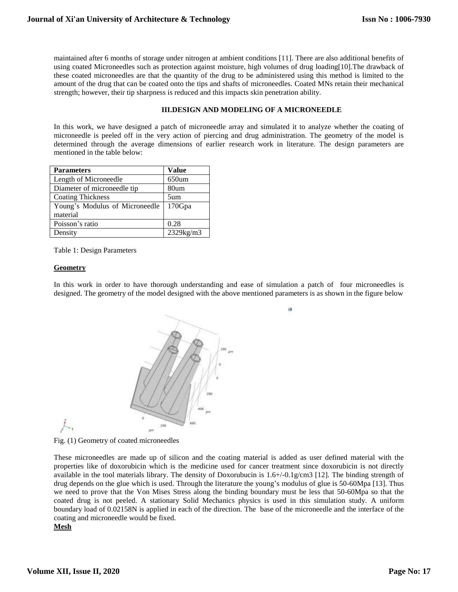maintained after 6 months of storage under nitrogen at ambient conditions [11]. There are also additional benefits of using coated Microneedles such as protection against moisture, high volumes of drug loading[10].The drawback of these coated microneedles are that the quantity of the drug to be administered using this method is limited to the amount of the drug that can be coated onto the tips and shafts of microneedles. Coated MNs retain their mechanical strength; however, their tip sharpness is reduced and this impacts skin penetration ability.

## **III.DESIGN AND MODELING OF A MICRONEEDLE**

In this work, we have designed a patch of microneedle array and simulated it to analyze whether the coating of microneedle is peeled off in the very action of piercing and drug administration. The geometry of the model is determined through the average dimensions of earlier research work in literature. The design parameters are mentioned in the table below:

| <b>Parameters</b>              | <b>Value</b>    |
|--------------------------------|-----------------|
| Length of Microneedle          | $650$ um        |
| Diameter of microneedle tip    | 80um            |
| <b>Coating Thickness</b>       | 5um             |
| Young's Modulus of Microneedle | 170Gpa          |
| material                       |                 |
| Poisson's ratio                | 0.28            |
| Density                        | $2329$ kg/m $3$ |

Table 1: Design Parameters

## **Geometry**

In this work in order to have thorough understanding and ease of simulation a patch of four microneedles is designed. The geometry of the model designed with the above mentioned parameters is as shown in the figure below

is.



Fig. (1) Geometry of coated microneedles

These microneedles are made up of silicon and the coating material is added as user defined material with the properties like of doxorubicin which is the medicine used for cancer treatment since doxorubicin is not directly available in the tool materials library. The density of Doxorubucin is 1.6+/-0.1g/cm3 [12]. The binding strength of drug depends on the glue which is used. Through the literature the young's modulus of glue is 50-60Mpa [13]. Thus we need to prove that the Von Mises Stress along the binding boundary must be less that 50-60Mpa so that the coated drug is not peeled. A stationary Solid Mechanics physics is used in this simulation study. A uniform boundary load of 0.02158N is applied in each of the direction. The base of the microneedle and the interface of the coating and microneedle would be fixed.

## **Mesh**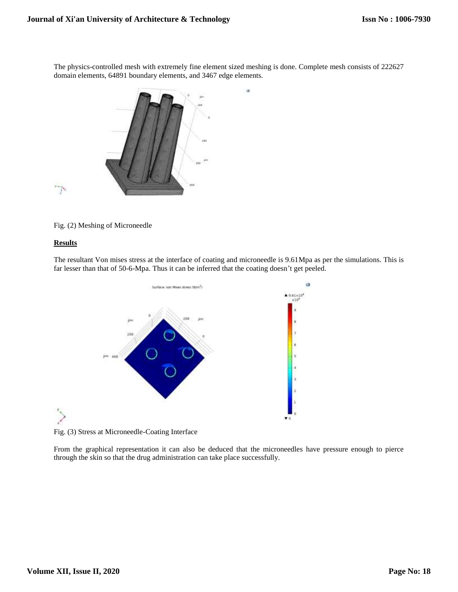The physics-controlled mesh with extremely fine element sized meshing is done. Complete mesh consists of 222627 domain elements, 64891 boundary elements, and 3467 edge elements.

à



Fig. (2) Meshing of Microneedle

## **Results**

 $\mathcal{E}$ 

'T



The resultant Von mises stress at the interface of coating and microneedle is 9.61Mpa as per the simulations. This is far lesser than that of 50-6-Mpa. Thus it can be inferred that the coating doesn't get peeled.

Fig. (3) Stress at Microneedle-Coating Interface

From the graphical representation it can also be deduced that the microneedles have pressure enough to pierce through the skin so that the drug administration can take place successfully.